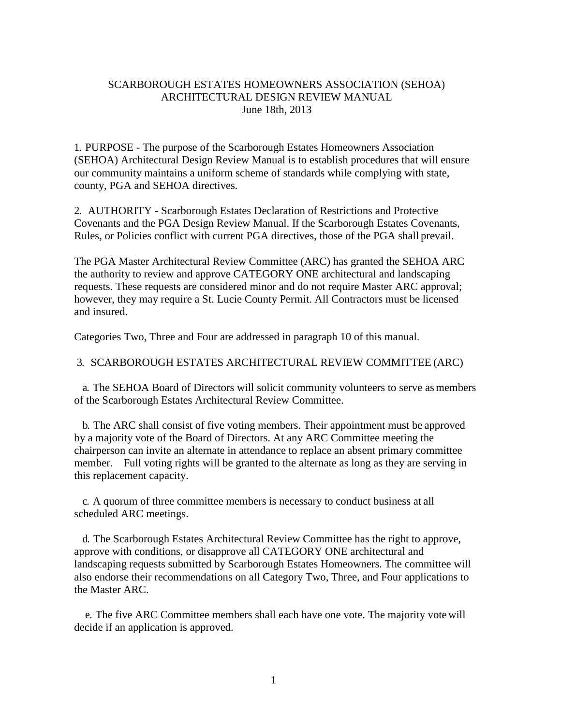### SCARBOROUGH ESTATES HOMEOWNERS ASSOCIATION (SEHOA) ARCHITECTURAL DESIGN REVIEW MANUAL June 18th, 2013

1. PURPOSE - The purpose of the Scarborough Estates Homeowners Association (SEHOA) Architectural Design Review Manual is to establish procedures that will ensure our community maintains a uniform scheme of standards while complying with state, county, PGA and SEHOA directives.

2. AUTHORITY - Scarborough Estates Declaration of Restrictions and Protective Covenants and the PGA Design Review Manual. If the Scarborough Estates Covenants, Rules, or Policies conflict with current PGA directives, those of the PGA shall prevail.

The PGA Master Architectural Review Committee (ARC) has granted the SEHOA ARC the authority to review and approve CATEGORY ONE architectural and landscaping requests. These requests are considered minor and do not require Master ARC approval; however, they may require a St. Lucie County Permit. All Contractors must be licensed and insured.

Categories Two, Three and Four are addressed in paragraph 10 of this manual.

#### 3. SCARBOROUGH ESTATES ARCHITECTURAL REVIEW COMMITTEE (ARC)

a. The SEHOA Board of Directors will solicit community volunteers to serve as members of the Scarborough Estates Architectural Review Committee.

b. The ARC shall consist of five voting members. Their appointment must be approved by a majority vote of the Board of Directors. At any ARC Committee meeting the chairperson can invite an alternate in attendance to replace an absent primary committee member. Full voting rights will be granted to the alternate as long as they are serving in this replacement capacity.

c. A quorum of three committee members is necessary to conduct business at all scheduled ARC meetings.

d. The Scarborough Estates Architectural Review Committee has the right to approve, approve with conditions, or disapprove all CATEGORY ONE architectural and landscaping requests submitted by Scarborough Estates Homeowners. The committee will also endorse their recommendations on all Category Two, Three, and Four applications to the Master ARC.

e. The five ARC Committee members shall each have one vote. The majority vote will decide if an application is approved.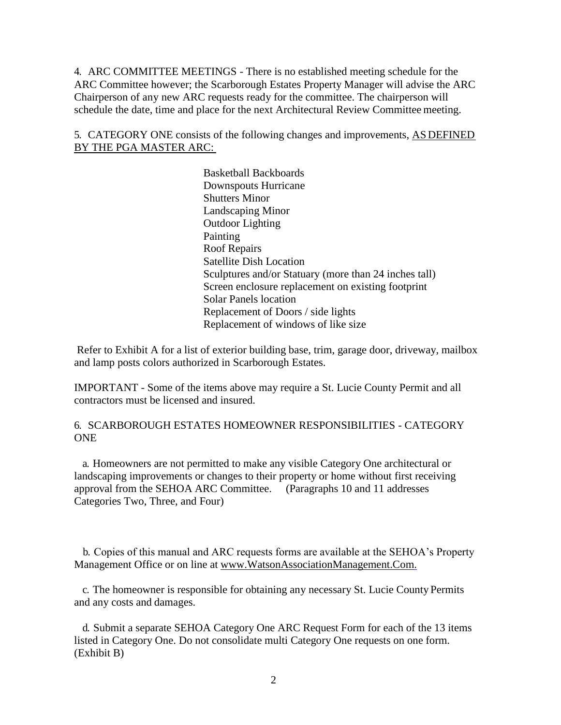4. ARC COMMITTEE MEETINGS - There is no established meeting schedule for the ARC Committee however; the Scarborough Estates Property Manager will advise the ARC Chairperson of any new ARC requests ready for the committee. The chairperson will schedule the date, time and place for the next Architectural Review Committee meeting.

5. CATEGORY ONE consists of the following changes and improvements, AS DEFINED BY THE PGA MASTER ARC:

> Basketball Backboards Downspouts Hurricane Shutters Minor Landscaping Minor Outdoor Lighting Painting Roof Repairs Satellite Dish Location Sculptures and/or Statuary (more than 24 inches tall) Screen enclosure replacement on existing footprint Solar Panels location Replacement of Doors / side lights Replacement of windows of like size

Refer to Exhibit A for a list of exterior building base, trim, garage door, driveway, mailbox and lamp posts colors authorized in Scarborough Estates.

IMPORTANT - Some of the items above may require a St. Lucie County Permit and all contractors must be licensed and insured.

6. SCARBOROUGH ESTATES HOMEOWNER RESPONSIBILITIES - CATEGORY **ONE** 

a. Homeowners are not permitted to make any visible Category One architectural or landscaping improvements or changes to their property or home without first receiving approval from the SEHOA ARC Committee. (Paragraphs 10 and 11 addresses Categories Two, Three, and Four)

b. Copies of this manual and ARC requests forms are available at the SEHOA's Property Management Office or on line at www.WatsonAssociationManagement.Com.

c. The homeowner is responsible for obtaining any necessary St. Lucie County Permits and any costs and damages.

d. Submit a separate SEHOA Category One ARC Request Form for each of the 13 items listed in Category One. Do not consolidate multi Category One requests on one form. (Exhibit B)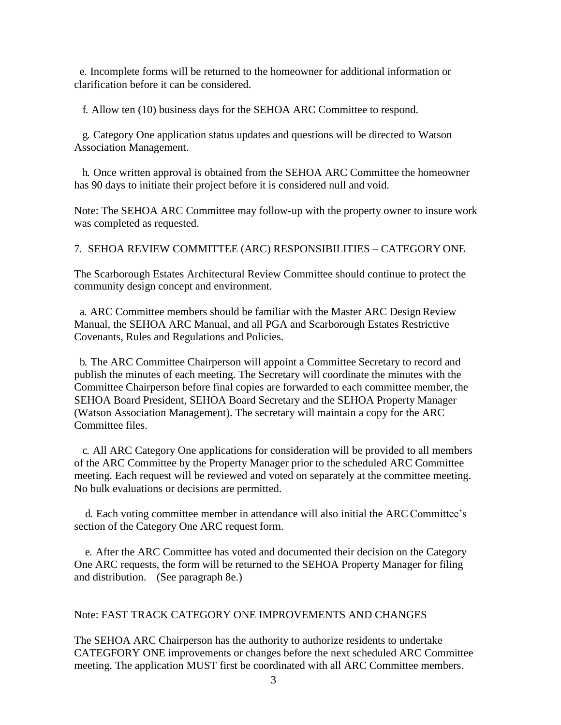e. Incomplete forms will be returned to the homeowner for additional information or clarification before it can be considered.

f. Allow ten (10) business days for the SEHOA ARC Committee to respond.

g. Category One application status updates and questions will be directed to Watson Association Management.

h. Once written approval is obtained from the SEHOA ARC Committee the homeowner has 90 days to initiate their project before it is considered null and void.

Note: The SEHOA ARC Committee may follow-up with the property owner to insure work was completed as requested.

7. SEHOA REVIEW COMMITTEE (ARC) RESPONSIBILITIES – CATEGORY ONE

The Scarborough Estates Architectural Review Committee should continue to protect the community design concept and environment.

a. ARC Committee members should be familiar with the Master ARC Design Review Manual, the SEHOA ARC Manual, and all PGA and Scarborough Estates Restrictive Covenants, Rules and Regulations and Policies.

b. The ARC Committee Chairperson will appoint a Committee Secretary to record and publish the minutes of each meeting. The Secretary will coordinate the minutes with the Committee Chairperson before final copies are forwarded to each committee member, the SEHOA Board President, SEHOA Board Secretary and the SEHOA Property Manager (Watson Association Management). The secretary will maintain a copy for the ARC Committee files.

c. All ARC Category One applications for consideration will be provided to all members of the ARC Committee by the Property Manager prior to the scheduled ARC Committee meeting. Each request will be reviewed and voted on separately at the committee meeting. No bulk evaluations or decisions are permitted.

d. Each voting committee member in attendance will also initial the ARC Committee's section of the Category One ARC request form.

e. After the ARC Committee has voted and documented their decision on the Category One ARC requests, the form will be returned to the SEHOA Property Manager for filing and distribution. (See paragraph 8e.)

#### Note: FAST TRACK CATEGORY ONE IMPROVEMENTS AND CHANGES

The SEHOA ARC Chairperson has the authority to authorize residents to undertake CATEGFORY ONE improvements or changes before the next scheduled ARC Committee meeting. The application MUST first be coordinated with all ARC Committee members.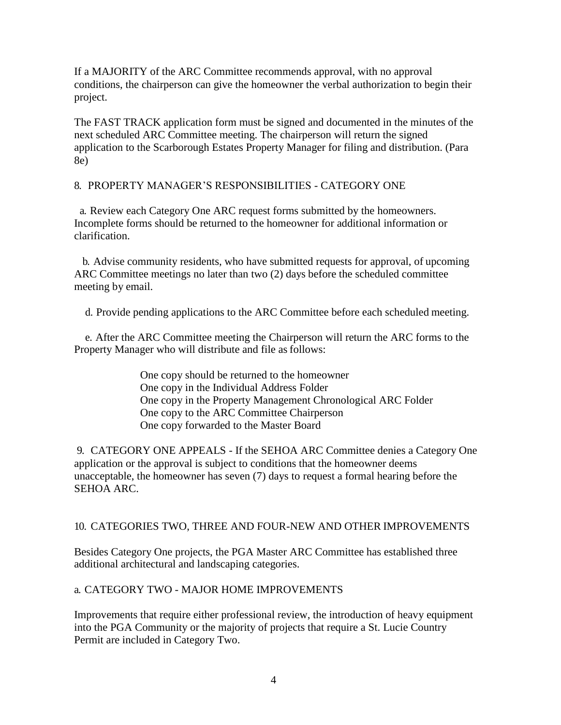If a MAJORITY of the ARC Committee recommends approval, with no approval conditions, the chairperson can give the homeowner the verbal authorization to begin their project.

The FAST TRACK application form must be signed and documented in the minutes of the next scheduled ARC Committee meeting. The chairperson will return the signed application to the Scarborough Estates Property Manager for filing and distribution. (Para 8e)

### 8. PROPERTY MANAGER'S RESPONSIBILITIES - CATEGORY ONE

a. Review each Category One ARC request forms submitted by the homeowners. Incomplete forms should be returned to the homeowner for additional information or clarification.

b. Advise community residents, who have submitted requests for approval, of upcoming ARC Committee meetings no later than two (2) days before the scheduled committee meeting by email.

d. Provide pending applications to the ARC Committee before each scheduled meeting.

e. After the ARC Committee meeting the Chairperson will return the ARC forms to the Property Manager who will distribute and file as follows:

> One copy should be returned to the homeowner One copy in the Individual Address Folder One copy in the Property Management Chronological ARC Folder One copy to the ARC Committee Chairperson One copy forwarded to the Master Board

9. CATEGORY ONE APPEALS - If the SEHOA ARC Committee denies a Category One application or the approval is subject to conditions that the homeowner deems unacceptable, the homeowner has seven (7) days to request a formal hearing before the SEHOA ARC.

## 10. CATEGORIES TWO, THREE AND FOUR-NEW AND OTHER IMPROVEMENTS

Besides Category One projects, the PGA Master ARC Committee has established three additional architectural and landscaping categories.

## a. CATEGORY TWO - MAJOR HOME IMPROVEMENTS

Improvements that require either professional review, the introduction of heavy equipment into the PGA Community or the majority of projects that require a St. Lucie Country Permit are included in Category Two.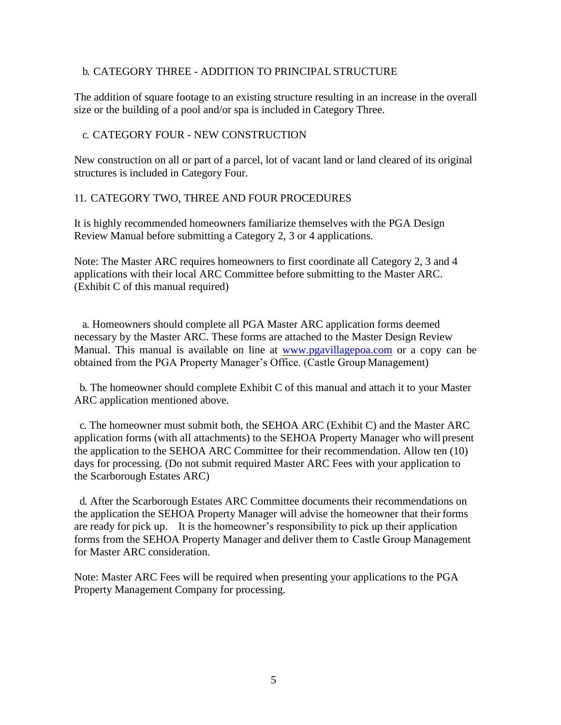#### b. CATEGORY THREE - ADDITION TO PRINCIPAL STRUCTURE

The addition of square footage to an existing structure resulting in an increase in the overall size or the building of a pool and/or spa is included in Category Three.

#### c. CATEGORY FOUR - NEW CONSTRUCTION

New construction on all or part of a parcel, lot of vacant land or land cleared of its original structures is included in Category Four.

#### 11. CATEGORY TWO, THREE AND FOUR PROCEDURES

It is highly recommended homeowners familiarize themselves with the PGA Design Review Manual before submitting a Category 2, 3 or 4 applications.

Note: The Master ARC requires homeowners to first coordinate all Category 2, 3 and 4 applications with their local ARC Committee before submitting to the Master ARC. (Exhibit C of this manual required)

a. Homeowners should complete all PGA Master ARC application forms deemed necessary by the Master ARC. These forms are attached to the Master Design Review Manual. This manual is available on line a[t www.pgavillagepoa.com o](http://www.pgavillagepoa.com/)r a copy can be obtained from the PGA Property Manager's Office. (Castle Group Management)

b. The homeowner should complete Exhibit C of this manual and attach it to your Master ARC application mentioned above.

c. The homeowner must submit both, the SEHOA ARC (Exhibit C) and the Master ARC application forms (with all attachments) to the SEHOA Property Manager who will present the application to the SEHOA ARC Committee for their recommendation. Allow ten (10) days for processing. (Do not submit required Master ARC Fees with your application to the Scarborough Estates ARC)

d. After the Scarborough Estates ARC Committee documents their recommendations on the application the SEHOA Property Manager will advise the homeowner that their forms are ready for pick up. It is the homeowner's responsibility to pick up their application forms from the SEHOA Property Manager and deliver them to Castle Group Management for Master ARC consideration.

Note: Master ARC Fees will be required when presenting your applications to the PGA Property Management Company for processing.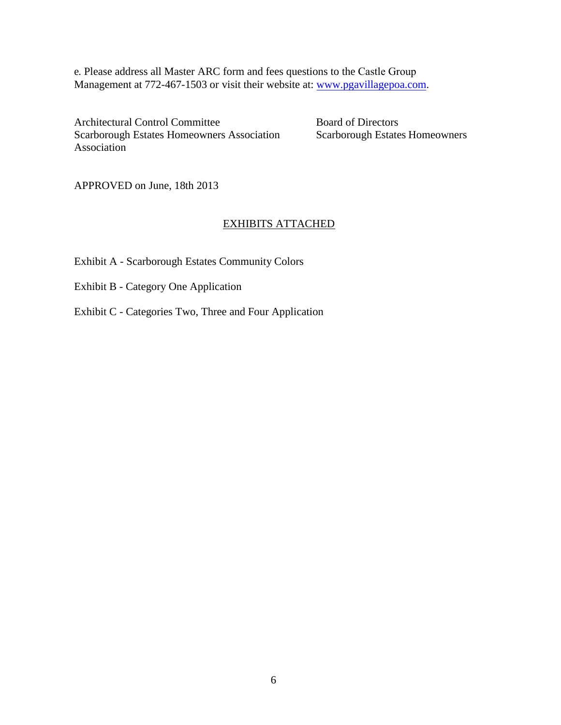e. Please address all Master ARC form and fees questions to the Castle Group Management at 772-467-1503 or [visit their website at:](http://www.pgavillagepoa.com/) www.pgavillagepoa.com.

Architectural Control Committee Board of Directors Scarborough Estates Homeowners Association Scarborough Estates Homeowners Association

APPROVED on June, 18th 2013

# EXHIBITS ATTACHED

- Exhibit A Scarborough Estates Community Colors
- Exhibit B Category One Application
- Exhibit C Categories Two, Three and Four Application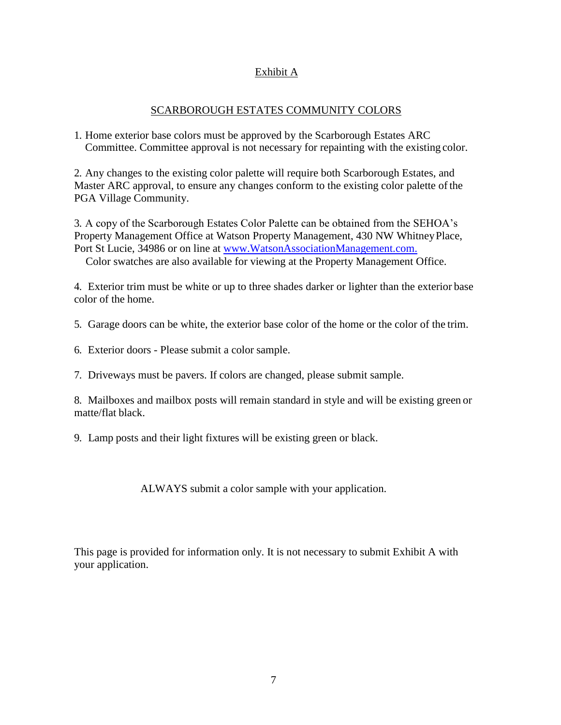## Exhibit A

### SCARBOROUGH ESTATES COMMUNITY COLORS

1. Home exterior base colors must be approved by the Scarborough Estates ARC Committee. Committee approval is not necessary for repainting with the existing color.

2. Any changes to the existing color palette will require both Scarborough Estates, and Master ARC approval, to ensure any changes conform to the existing color palette of the PGA Village Community.

3. A copy of the Scarborough Estates Color Palette can be obtained from the SEHOA's Property Management Office at Watson Property Management, 430 NW WhitneyPlace, Port St Lucie, 34986 or on line at [www.WatsonAssociationManagement.com.](http://www.watsonassociationmanagement.com./)

Color swatches are also available for viewing at the Property Management Office.

4. Exterior trim must be white or up to three shades darker or lighter than the exterior base color of the home.

5. Garage doors can be white, the exterior base color of the home or the color of the trim.

- 6. Exterior doors Please submit a color sample.
- 7. Driveways must be pavers. If colors are changed, please submit sample.

8. Mailboxes and mailbox posts will remain standard in style and will be existing green or matte/flat black.

9. Lamp posts and their light fixtures will be existing green or black.

ALWAYS submit a color sample with your application.

This page is provided for information only. It is not necessary to submit Exhibit A with your application.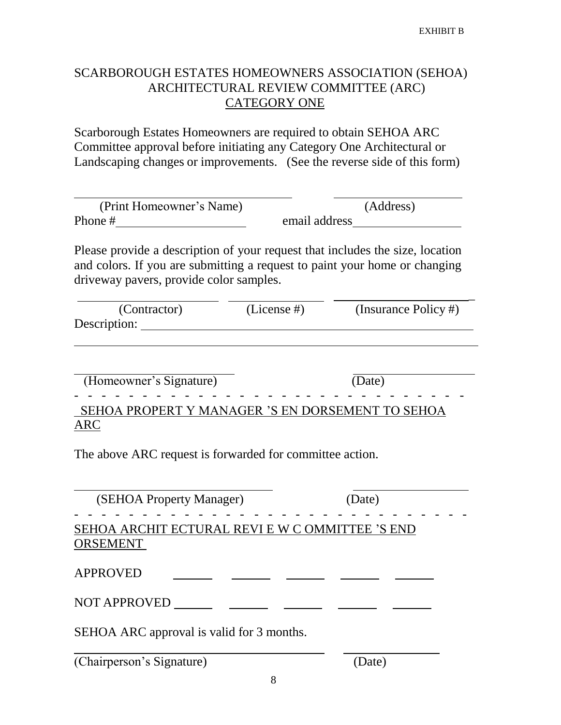# SCARBOROUGH ESTATES HOMEOWNERS ASSOCIATION (SEHOA) ARCHITECTURAL REVIEW COMMITTEE (ARC) CATEGORY ONE

Scarborough Estates Homeowners are required to obtain SEHOA ARC Committee approval before initiating any Category One Architectural or Landscaping changes or improvements. (See the reverse side of this form)

| (Print Homeowner's Name) | (Address)     |
|--------------------------|---------------|
| Phone #                  | email address |

Please provide a description of your request that includes the size, location and colors. If you are submitting a request to paint your home or changing driveway pavers, provide color samples.

| (Insurance Policy #) |
|----------------------|
|                      |
|                      |

(Homeowner's Signature) (Date)

- - - - - - - - - - - - - - - - - - - - - - - - - - - - - SEHOA PROPERT Y MANAGER 'S EN DORSEMENT TO SEHOA ARC

The above ARC request is forwarded for committee action.

| (SEHOA Property Manager)                                           | (Date) |
|--------------------------------------------------------------------|--------|
| SEHOA ARCHIT ECTURAL REVI E W C OMMITTEE 'S END<br><b>ORSEMENT</b> |        |
| <b>APPROVED</b>                                                    |        |
| <b>NOT APPROVED</b>                                                |        |
| SEHOA ARC approval is valid for 3 months.                          |        |
| (Chairperson's Signature)                                          | Date:  |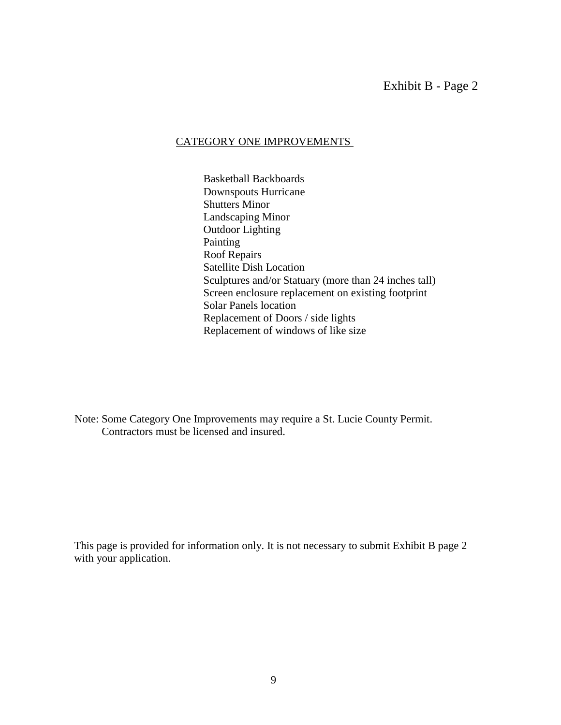## CATEGORY ONE IMPROVEMENTS

Basketball Backboards Downspouts Hurricane Shutters Minor Landscaping Minor Outdoor Lighting Painting Roof Repairs Satellite Dish Location Sculptures and/or Statuary (more than 24 inches tall) Screen enclosure replacement on existing footprint Solar Panels location Replacement of Doors / side lights Replacement of windows of like size

Note: Some Category One Improvements may require a St. Lucie County Permit. Contractors must be licensed and insured.

This page is provided for information only. It is not necessary to submit Exhibit B page 2 with your application.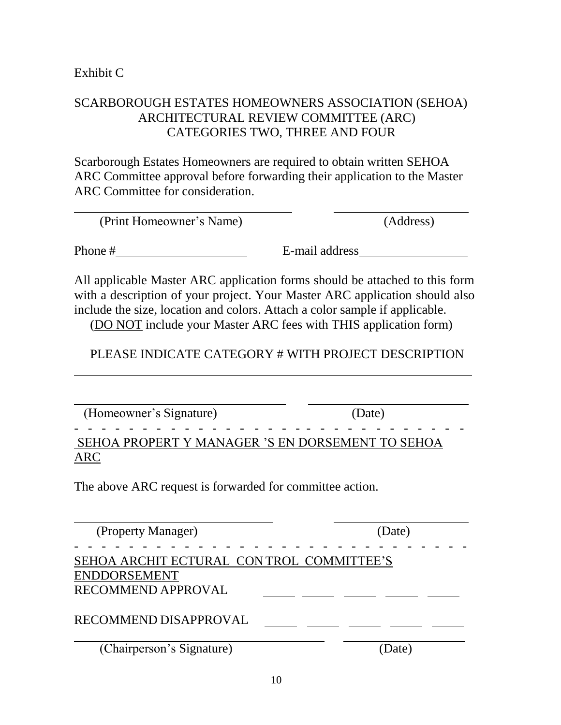# SCARBOROUGH ESTATES HOMEOWNERS ASSOCIATION (SEHOA) ARCHITECTURAL REVIEW COMMITTEE (ARC) CATEGORIES TWO, THREE AND FOUR

Scarborough Estates Homeowners are required to obtain written SEHOA ARC Committee approval before forwarding their application to the Master ARC Committee for consideration.

| (Print Homeowner's Name) | (Address) |
|--------------------------|-----------|
|--------------------------|-----------|

Phone # E-mail address

All applicable Master ARC application forms should be attached to this form with a description of your project. Your Master ARC application should also include the size, location and colors. Attach a color sample if applicable.

(DO NOT include your Master ARC fees with THIS application form)

# PLEASE INDICATE CATEGORY # WITH PROJECT DESCRIPTION

(Homeowner's Signature) (Date)

# SEHOA PROPERT Y MANAGER 'S EN DORSEMENT TO SEHOA ARC

The above ARC request is forwarded for committee action.

- - - - - - - - - - - - - - - - - - - - - - - - - - - - -

| (Property Manager)                                              | (Date) |
|-----------------------------------------------------------------|--------|
| SEHOA ARCHIT ECTURAL CONTROL COMMITTEE'S<br><b>ENDDORSEMENT</b> |        |
| RECOMMEND APPROVAL                                              |        |
| RECOMMEND DISAPPROVAL                                           |        |
| (Chairperson's Signature)                                       | Date)  |